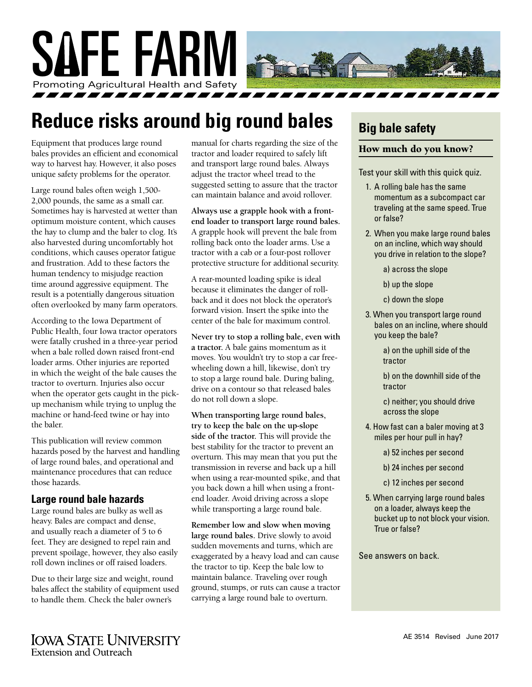

## **Reduce risks around big round bales**

Equipment that produces large round bales provides an efficient and economical way to harvest hay. However, it also poses unique safety problems for the operator.

Large round bales often weigh 1,500- 2,000 pounds, the same as a small car. Sometimes hay is harvested at wetter than optimum moisture content, which causes the hay to clump and the baler to clog. It's also harvested during uncomfortably hot conditions, which causes operator fatigue and frustration. Add to these factors the human tendency to misjudge reaction time around aggressive equipment. The result is a potentially dangerous situation often overlooked by many farm operators.

According to the Iowa Department of Public Health, four Iowa tractor operators were fatally crushed in a three-year period when a bale rolled down raised front-end loader arms. Other injuries are reported in which the weight of the bale causes the tractor to overturn. Injuries also occur when the operator gets caught in the pickup mechanism while trying to unplug the machine or hand-feed twine or hay into the baler.

This publication will review common hazards posed by the harvest and handling of large round bales, and operational and maintenance procedures that can reduce those hazards.

#### **Large round bale hazards**

Large round bales are bulky as well as heavy. Bales are compact and dense, and usually reach a diameter of 5 to 6 feet. They are designed to repel rain and prevent spoilage, however, they also easily roll down inclines or off raised loaders.

Due to their large size and weight, round bales affect the stability of equipment used to handle them. Check the baler owner's

manual for charts regarding the size of the tractor and loader required to safely lift and transport large round bales. Always adjust the tractor wheel tread to the suggested setting to assure that the tractor can maintain balance and avoid rollover.

**Always use a grapple hook with a frontend loader to transport large round bales.** A grapple hook will prevent the bale from rolling back onto the loader arms. Use a tractor with a cab or a four-post rollover protective structure for additional security.

A rear-mounted loading spike is ideal because it eliminates the danger of rollback and it does not block the operator's forward vision. Insert the spike into the center of the bale for maximum control.

**Never try to stop a rolling bale, even with a tractor.** A bale gains momentum as it moves. You wouldn't try to stop a car freewheeling down a hill, likewise, don't try to stop a large round bale. During baling, drive on a contour so that released bales do not roll down a slope.

**When transporting large round bales, try to keep the bale on the up-slope side of the tractor.** This will provide the best stability for the tractor to prevent an overturn. This may mean that you put the transmission in reverse and back up a hill when using a rear-mounted spike, and that you back down a hill when using a frontend loader. Avoid driving across a slope while transporting a large round bale.

**Remember low and slow when moving large round bales.** Drive slowly to avoid sudden movements and turns, which are exaggerated by a heavy load and can cause the tractor to tip. Keep the bale low to maintain balance. Traveling over rough ground, stumps, or ruts can cause a tractor carrying a large round bale to overturn.

## **Big bale safety**

#### How much do you know?

Test your skill with this quick quiz.

- 1. A rolling bale has the same momentum as a subcompact car traveling at the same speed. True or false?
- 2. When you make large round bales on an incline, which way should you drive in relation to the slope?

a) across the slope

- b) up the slope
- c) down the slope
- 3. When you transport large round bales on an incline, where should you keep the bale?

a) on the uphill side of the tractor

b) on the downhill side of the tractor

c) neither; you should drive across the slope

- 4. How fast can a baler moving at 3 miles per hour pull in hay?
	- a) 52 inches per second
	- b) 24 inches per second
	- c) 12 inches per second
- 5. When carrying large round bales on a loader, always keep the bucket up to not block your vision. True or false?

See answers on back.